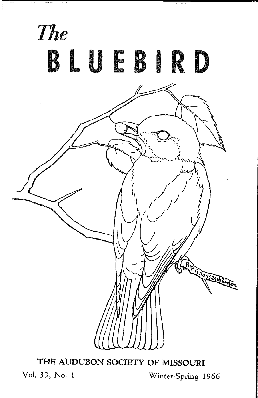

**THE AUDUBON SOCIETY OF MISSOURI** 

Vol. 33, No. 1 Winter-Spring 1966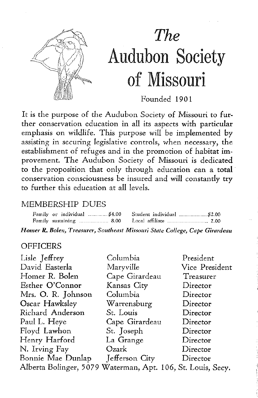

# *The*  Audubon Society of Missouri

Founded 1901

It is the purpose of the Audubon Society of Missouri to further conservation education in all its aspects with particular emphasis on wildlife. This purpose will be implemented by assisting in securing legislative controls, when necessary, the establishment of refuges and in the promotion of habitat improvement. The Audubon Society of Missouri is dedicated to the proposition that only through education can a total conservation consciousness be insured and will constantly try to further this education at all levels.

#### MEMBERSHIP DUES

*Homer R. Bolen, Treasurer, Southeast Missouri State College, Cape Girardeau* 

#### **OFFICERS**

| Lisle Jeffrey                                               | Columbia       | President      |  |
|-------------------------------------------------------------|----------------|----------------|--|
| David Easterla                                              | Maryville      | Vice President |  |
| Homer R. Bolen                                              | Cape Girardeau | Treasurer      |  |
| Esther O'Connor                                             | Kansas City    | Director       |  |
| Mrs. O. R. Johnson                                          | Columbia       | Director       |  |
| Oscar Hawksley                                              | Warrensburg    | Director       |  |
| Richard Anderson                                            | St. Louis      | Director       |  |
| Paul L. Heye                                                | Cape Girardeau | Director       |  |
| Floyd Lawhon                                                | St. Joseph     | Director       |  |
| Henry Harford                                               | La Grange      | Director       |  |
| N. Irving Fay                                               | Ozark          | Director       |  |
| Bonnie Mae Dunlap                                           | Jefferson City | Director       |  |
| Alberta Bolinger, 5079 Waterman, Apt. 106, St. Louis, Secy. |                |                |  |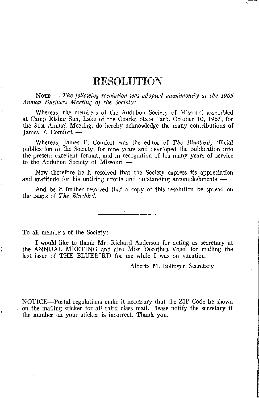## RESOLUTION

NoTE  $-$  *The following resolution was adopted unanimously at the 1965 Annual Business Meeting of the Society:* 

Whereas, the members of the Audubon Society of Missouri assembled at Camp Rising Sun, Lake of the Ozarks State Park, October 10, 1965, for the 31st Annual Meeting, do hereby acknowledge the many contributions of James F. Comfort-

Whereas, James F. Comfort was the editor of *The Bluebird,* official publication of the Society, for nine years and developed the publication into **the present excellent format, and in recognition of his many years of service**  to the Audubon Society of Missouri -

Now therefore be it resolved that the Society express its appreciation and gratitude for his untiring efforts and outstanding accomplishments -

And be it further resolved that a copy of this resolution be spread on the pages of *The Bluebird.* 

To all members of the Society:

I would like to thank Mr. Richard Anderson for acting as secretary at the ANNUAL MEETING and also Miss Dorothea Vogel for mailing the last issue of THE BLUEBIRD for me while I was on vacation.

Alberta M. Bolinger, Secretary

NOTICE-Postal regulations make it necessary that the ZIP Code be shown on tbe mailing sticker for all third class mail. Please notify the secretary if the number on your sticker is incorrect. Thank you.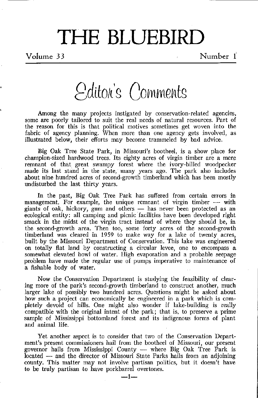# THE BLUEBIRD

Volume 33 Number 1

Editor's Comments

Among the many projects instigated by conservation-related agencies, some are poorly tailored to suit the real needs of natural resources. Part of the reason for this is that political motives sometimes get woven into the fabric of agency planning. When more than one agency gets involved, as illustrated below, their efforts may become trammeled by bad advice.

Big Oak Tree State Park, in Missouri's bootheel, is a show place for champion-sized hardwood trees. Its eighty acres of virgin timber are a mere remnant of that great swampy forest where the ivory-billed woodpecker made its last stand in the state, many years ago. The park also includes about nine hundred acres of second-growth timberland which has been mostly undisturbed the last thirty years.

In the past, Big Oak Tree Park has suffered from certain errors in management. For example, the unique remnant of virgin timber  $-$  with giants of oak, hickory, gum and others - has never been protected as an ecological entity: all camping and picnic facilities have been developed right smack in the midst of the virgin tract instead of where they should be, in the second-growth area. Then too, some forty acres of the second-growth timberland was cleared in 1959 to make way for a lake of twenty acres, built by the Missouri Department of Conservation. This lake was engineered on totally flat land by constructing a circular levee, one to encompass a somewhat elevated bowl of water. High evaporation and a probable seepage problem have made the regular use of pumps imperative to maintenance of a fishable body of water.

Now the Conservation Department is studying the feasibility of clearing more of the park's second-growth timberland to construct another, much larger lake of possibly two hundred acres. Questions might be asked about how such a project can economically be engineered in a park which is completely devoid of hills. One might also wonder if lake-building is really compatible with the original intent of the park; that is, to preserve a prime sample of Mississippi bottomland forest and its indigenous forms of plant and animal life.

Yet another aspect is to consider that two of the Conservation Department's present commissioners hail from the bootheel of Missouri, our present governor hails from Mississippi County  $-$  where Big Oak Tree Park is located - and the director of Missouri State Parks hails from an adjoining county. This matter may not involve partisan politics, but it doesn't have to be truly partisan to have porkbarrel overtones.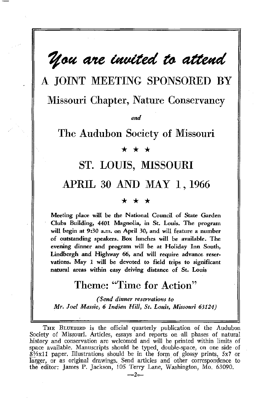## $u$ *are invited to attend*

A JOINT MEETING SPONSORED BY Missouri Chapter, Nature Conservancy

*and* 

The Audubon Society of Missouri

#### \* \* \*

### ST. LOUIS, MISSOURI

## APRIL 30 AND MAY 1, 1966

#### \* \* \*

Meeting place will be the National Council of State Garden Clubs Building, 4401 Magnolia, in St. Louis. The program will begin at 9:30 a.m. on April 30, and will feature a number of outstanding speakers. Box lunches will be available. The evening dinner and program will be at Holiday Inn South, Lindbergh and Highway 66, and will require advance reservations. May 1 will be devoted to field trips to significant natural areas within easy driving distance of St. Louis

## Theme: "Time for Action"

*(Send dinner reservations to Mr. Joel Massie, 6 Indian Hill, St. Louis, Missouri 63124)* 

THE BLUEBIRD is the official quarterly publication of the Audubon Society of Missouri. Articles, essays and reports on all phases of natural history and conservation are welcomed and will be printed within limits of space available. Manuscripts should be typed, double-space, on one side of  $8\frac{1}{2}$ x11 paper. Illustrations should be in the form of glossy prints, 5x7 or larger, or as original drawings. Send articles and other correspondence to the editor: James P. Jackson, 105 Terry Lane, Washington, Mo. 63090.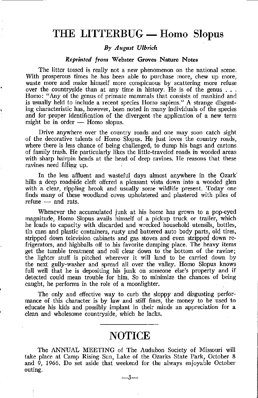## **THE LITTERBUG- Homo Slopus**

#### *By August Ulbrich*

#### *Reprinted from* **Webster Groves Nature Notes**

**The litter tossed is really not a new phenomenon on the national scene. With prosperous times he has been able to purchase more, chew up more, waste more and make himself more conspicuous by scattering more refuse**  over the countryside than at any time in history. He is of the genus , . . **Homo:** "Any of the genus of primate mammals that consists of mankind and **is usually held to include a recent species Homo sapiens." A strange disgusting characteristic has, however, been noted in many individuals of the species**  and for proper identification of the divergent the application of a new term might be in order  $-$  Homo slopus.

**Drive anywhere over the country roads and one may soon catch sight**  of the decorative talents of Homo Slopus. He just loves the country roads, where there is less chance of being challenged, to dump his bags and cartons of family trash. He particularly likes the little-traveled roads in wooded areas with sharp hairpin bends at the head of deep ravines. He reasons that these ravines need filling up.

In the less affluent and wasteful days almost anywhere in the Ozark hills a deep roadside cleft offered a pleasant vista down into a wooded glen with a clear, rippling brook and usually some wildlife present. Today one finds many of these woodland coves upholstered and plastered with piles of  $refuse$   $\longrightarrow$  and rats.

Whenever the accumulated junk at his home has grown to a pop-eyed magnitude, Homo Slopus avails himself of a pickup truck or trailer, which he loads to capacity with discarded and wrecked household utensils, bottles, **tin cans and plastic containers, rusty and battered auto body parts, old tires,**  stripped down television cabinets and gas stoves and even stripped down refrigerators, and highballs off to his favorite dumping place. The heavy items get the tumble treatment and roll clear down to the bottom of the ravine; the lighter stuff is pitched wherever it will land to be carried down by the next gully-washer and spread all over the valley. Homo Slopus knows full well that he is depositing his junk on someone else's property and if detected could mean trouble for him. So to minimize the chances of being caught, he performs in the role of a moonlighter.

The only and effective way to curb the sloppy and disgusting periormance of this character is by law and stiff fines, the money to be used to educate his kids and possibly implant in their minds an appreciation for a clean and wholesome countryside, which he lacks.

#### **NOTICE**

The ANNUAL MEETING of The Audubon Society of Missouri will take place at Camp Rising Sun, Lake of the Ozarks State Park, October 8 and  $\overline{9}$ , 1966. Do set aside that weekend for the always enjoyable October **outing.** 

-3-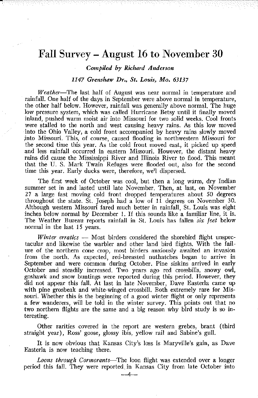## Fall Survey- August 16 to November 30

#### *Compiled by Richard Anderson*

#### *1147 Grenshaw* Dr., *St. Louis, Mo. 63137*

*Weather-*The last half of August was near normal in temperature and rainfall. One half of the days in September were above normal in temperature, the other half below. However, rainfall was generally above normal. The huge low pressure system, which was called Hurricane Betsy until it finally moved inland, pushed warm moist air into Missouri for two solid weeks. Cool fronts were stalled to the north and west causing heavy rains. As this low moved into the Ohio Valley, a cold front accompanied by heavy rains slowly moved into Missouri. This, of course, caused flooding in northwestern Missouri for the second time this year. As the cold front moved east, it picked up speed and less rainfall occurred in eastern Missouri. However, the distant heavy rains did cause the Mississippi River and Illinois River to flood. This meant that the U. S. Mark Twain Refuges were flooded out, also for the second time this year. Early ducks were, therefore, we'l dispersed.

The first week of October was cool, but then a long warm, dry Indian summer set in and lasted until late November. Then, at last, on November 27 a large fast moving cold front dropped temperatures about 50 degrees throughout the state. St. Joseph had a low of 11 degrees on November 30. Although western Missouri fared much better in rainfall, St. Louis was eight inches below normal by December 1. If this sounds like a familiar line, it is. The Weather Bureau reports rainfall in St. Louis has fallen *six feet* below normal in the last 15 years.

*Winter erratics* — Most birders considered the shorebird flight unspectacular and likewise the warbler and other land bird flights. With the failure of the northern cone crop, most birders anxiously awaited an invasion from the north. As expected, red-breasted nuthatches began to arrive in September and were common during October. Pine siskins arrived in early October and steadily increased. Two years ago red crossbills, snowy owl, goshawk and snow buntings were reported during this period. However, they did not appear this fall. At last in late November, Dave Easterla came up with pine grosbeak and white-winged crossbill. Both extremely rare for Missouri. Whether this is the beginning of a good winter flight or only represents a few wanderers, will be told in the winter survey. This points out that no two northern flights are the same and a big reason Why bird study is so interesting.

Other rarities covered in the report are western grebes, brant (third straight year), Ross' goose, glossy ibis, yellow rail and Sabine's gull.

It is now obvious that Kansas City's loss is Maryville's gain, as Dave Easterla is now teaching there.

*Loons through Cormorants-The* loon flight was extended over a longer period this fall. They were reported in Kansas City from late October into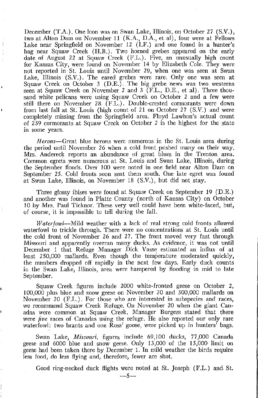December (T.A.). One loon was on Swan Lake, Illinois, on October 27 (S.V.), two at Alton Dam on November 11 (K.A., D.A., et al), four were at Fellows Lake near Springfield on November 12 (I.F.) and one found in a hunter's bag near Squaw Creek (H.B.). Two horned grebes appeared on the early date of August 22 at Squaw Creek  $(F.L.)$ . Five, an unusually high count for Kansas City, were found on November 14 by Elizabeth Cole. They were **not reported in St. Louis until November 29., when one was seen at Swan Lake, 111inois (S.V.). The eared grebes were rare. Only one was seen at**  Squaw Creek on October 3 (D.E.). The big grebe news was two westerns seen at Squaw Creek on November 2 and 3 (F.L., D.E., et al). Three thou**sand white pelicans were using Squaw Creek on October 2 and a few were still there on November 28 (F.L.). Double-crested cormorants were down**  from last fall at St. Louis (high count of 21 on October 27 (S.V.) and were completely missing from the Springfield area. Floyd Lawhon's actual count **of 239 cormorants at Squaw Creek on October 2 is the highest for the state in some years.** 

Ĵ

*Herons-Great* **blue herons were numerous in the St. Louis area during the period until November 26 when a cold front pushed many on their way. Mrs.** Andereck reports an abundance of great blues in the Trenton area. Common egrets were numerous at St. Louis and Swan Lake, Illinois, during **the September flRods. Over 100 were noted in one field near Alton Dam on**  September *25.* Cold fronts soon sent them south. One late egret was found at Swan Lake, Illinois, on November 18 (S.V.), but did not stay.

Three glossy ibises were found at Squaw Creek on September 19 (D.E.) and another was found in Platte County (north of Kansas City) on October 10 by Mrs. Paul Ticknor. These very well could have been white-faced, but, of course, it is impossible to tell during the fall.

*Waterfowl-Mild* weather with a lack of real strong cold fronts allowed **waterfowl to trickle through. There were no concentrations at St. Louis until**  the cold front of November 26 and 27. The front moved very fast through **l\1issouri and apparently overran many ducks. As evidence, it was not until December 1 that Refuge 0anager Dick Vasse estimated an influx of at**  least *250,000* mallards. Even though the temperature moderated quickly, the numbers dropped off rapidly in the next few days. Early duck counts **in the Swan Lake, Illinois, area were hampered by flooding in mid to late**  September.

Squaw Creek figures include 2000 white-fronted geese on October 2, 100,000 plus blue and snow geese on November 20 and 300,000 mallards on **November 20 (F.L.). For those who are interested in subspecies and races, we recommend Squaw Creek Refuge. On November 20 when the giant Canadas were common at Squaw Creek, 0anager Burgess stated that there were** *five* **races of Canadas using the refuge. He also reported our only rare waterfowl: two brants and one Ross' goose, were picked up in hunters' bags.** 

Swan Lake, Missouri, figures include 69,100 ducks, 77,000 Canada geese and 6000 blue and snow geese. Only 13,000 of the 15,000 limit on geese had been taken there by December 1. In mild weather the birds require **less food, .do less flying and, therefore, fewer are shot.** 

Good ring-necked duck flights were noted at St. Joseph (F.L.) and St.

*-5-*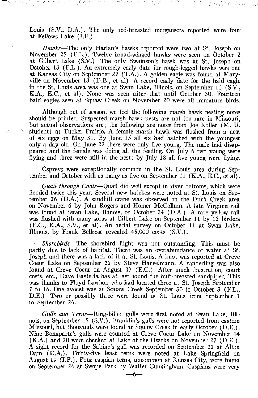Louis (S.V., D.A.). The only red-breasted mergansers reported were four at Fellows Lake (I.F.).

*Hawks-*The only Harlan's hawks reported were two at St. Joseph on November 25 (F.L.). Twelve broad-winged hawks were seen on October 2 at Gilbert Lake (S.V.). The only Swainson's hawk was at St. Joseph on October 13 (F.L.). An extremely early date for rough-legged hawks was one at Kansas City on September 27 (T.A.). A golden eagle was found at Maryville on November 13 (D.E., et al). A record early date for the bald eagle in the St. Louis area was one at Swan Lake, Illinois, on September 11 (S.V., K.A., E.C., et al). None was seen after that until October 30. Fourteen bald eagles seen at Squaw Creek on November 20 were all immature birds.

Although out of season, we feel the following marsh hawk nesting notes **should be printed. Suspected marsh hawk nests are not too rare in Missouri,**  but actual observations are; the following are notes from Joe Roller (M. U. student) at Tucker Prairie. A female marsh hawk was flushed from a nest of six eggs on May 31. By June 15 all six had hatched with the youngest only a day old. On June 22 there were only five young. The male had disappeared and the female was doing all the feeding. On July 6 two young were flying and three were still in the nest; by July 18 all five young were flying.

Ospreys were exceptionally common in the St. Louis area during September and October with as many as five on September 11  $(K.A., E.C., et al).$ 

*Quail through Coots-Quail* did well except in river bottoms, which were flooded twice this year. Several new hatches were noted at St. Louis on September 26 (D.A.). A sandhill crane was observed on the Duck Creek area on November 6 by John Rogers and Homer McCollum. A late Virginia rail was found at Swan Lake, Illinois, on October 24 (D.A.). A rare yellow rail was flushed with many soras at Gilbert Lake on September 11 by 12 birders (E.C., K.A., S.V., et al). An aerial survey on October 11 at Swan Lake, Illinois, by Frank Bellrose revealed 45,000 coots (S.V.).

*Shorebirds-*The shorebird flight was not outstanding. This must be partly due to lack of habitat. There was an overabundance of water at St. Joseph and there was a lack of it at St. Louis. A knot was reported at Creve Coeur Lake on September 22 by Steve Hanselmann. A sanderling was also found at Creve Coeur on August 27 (E.C.). After much frustration, court costs, etc., Dave Easterla has at last found the buff-breasted sandpiper. This was thanks to Floyd Lawhon who had located three at St. Joseph September 7 to 16. One avocet was at Squaw Creek September 30 to October 3 (F.L., D.E.). Two or possibly three were found at St. Louis from September 1 to September 26.

*Gulls and Terns-Ring-billed* gulls were first noted at Swan Lake, Illinois, on September 15 (S.V.). Franklin's gulls were not reported from eastern Missouri, but thousands were found at Squaw Creek in early October (D.E.). Nine Bonaparte's gulls were counted at Creve Coeur Lake on November 14 (K.A.) and 20 were checked at Lake of the Ozarks on November 27 (D.E.). A sight record for the Sabine's gull was recorded on September 12 at Alton Dam (D.A.). Thirty-five least terns were noted at Lake Springfield on August 19 (I.F.). Four caspian terns, uncommon at Kansas City, were found on September 26 at Swope Park by Walter Cunningham. Caspians were very

 $-6-$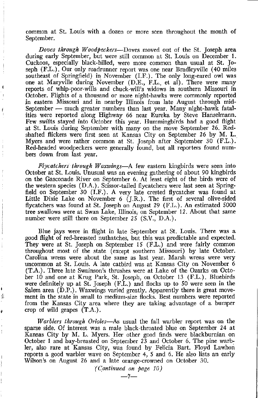**common at St. Louis with a dozen or more seen throughout the month of**  September.

*Doves through Woodpeckers-Doves* moved out of the St. Joseph area during early September, but were still common at St. Louis on December 1. Cuckoos, especially black-billed, were more common than usual at St. Joseph (F.L.). Our only roadrunner report was one near Bradleyville (40 miles southeast of Springfield) in November (I.F.). The only long-eared owl was one at Maryville during November (D.E., F.L., et al). There were many **reports of whip-poor-wills and chuck-will's widows in southern Missouri in**  October. Flights of a thousand or more night-hawks were commonly reported in eastern Missouri and in nearby Illinois from late August through mid-September - much greater numbers than last year. Many night-hawk fatalities were reported along Highway 66 near Eureka by Steve Hanselmann. Few swifts stayed into October this year. Hummingbirds had a good flight at St. Louis during September with many on the move September 26. Redshafted flickers were first seen at Kansas City on September 26 by M. L. Myers and were rather common at St. Joseph after September 30 (F.L.). Red-headed woodpeckers were generally found, but all reporters found numbers down from last year.

*Flycatchers through Waxwings*—A few eastern kingbirds were seen into October at St. Louis. Unusual was an evening gathering of about 90 kingbirds on the Gasconade River on September 6. At least eight of the birds were of the western species (D.A.). Scissor-tailed flycatchers were last seen at Springfield on September 30 (I.F.). A very late crested flycatcher was found at Little Dixie Lake on November 6 (J.R.). The first of several olive-sided flycatchers was found at St. Joseph on August 29 (F.L.). An estimated 5000 tree swallows were at Swan Lake, Illinois, on September 12. About that same number were still there on September 25 (S.V., D.A.).

Blue jays were in flight in late September at St. Louis. There was a good flight of red-breasted nuthatches, but this was predictable and expected. They were at St. Joseph on September 15 (F.L.) and were fairly common throughout most of the state (except southern Missouri) by late October. **Carolina wrens were about the same as last year. Marsh wrens were very**  uncommon at St. Louis. A late catbird was at Kansas City on November 6 (T.A.). Three late Swainson's thrushes were at Lake of the Ozarks on October 10 and one at Krug Park, St. Joseph, on October 13 (F.L.). Bluebirds were definitely up at St. Joseph (F.L.) and flocks up to 50 were seen in the Salem area (D.P.). Waxwings varied greatly. Apparently there is great move**ment in the state in small to medium-size flocks. Best numbers were reported**  from the Kansas City area where they are taking advantage of a bumper crop of wild grapes (T.A.).

*Warblers through Orioles-As* usual the fall warbler report was on the sparse side. Of interest was a male black-throated blue on September 24 at Kansas City by M. L. Myers. Her other good finds were blackburnian on October I and bay-breasted on September 23 and October 6. The pine warb ler, also rare at Kansas City, was found by Felicia Bart. Floyd Lawhon reports a good warbler wave on September 4, 5 and 6. He also lists an early Wilson's on August 26 and a late orange-crowned on October 30.

I'

ł

*(Continued an page 10)*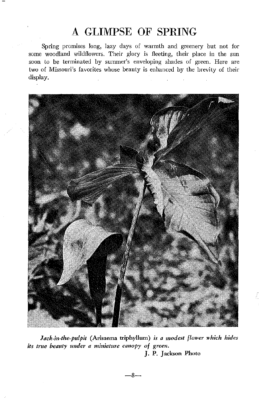## A GLIMPSE OF SPRING

Spring promises long, lazy days of warmth and greenery but not for some woodland wildflowers. Their glory is fleeting, their place in the sun soon to be terminated by summer's enveloping shades of green. Here are two of Missouri's favorites whose beauty is enhanced by the brevity of their display.



*Jack-in-the-pulpit* (Arisaema triphyllum) *is a modest flower which hides its true beauty under a miniature canopy of green.* 

J. P, Jackson Photo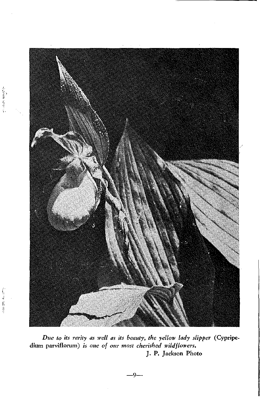

→<br>中国語

*Due to its rarity as well as its beauty, the yellow lady slipper* (Cypripedium parviflorum) *is one of our most cherished wildflon'ers.*  J. P. Jackson Photo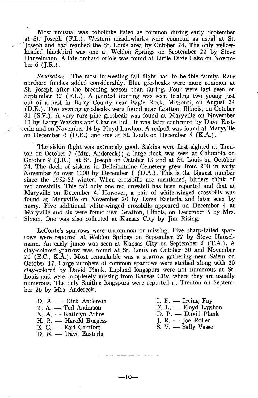Most unusual was bobolinks listed as common during early September at St. Joseph (F.L.). Western meadowlarks were common as usual at St. Joseph and had reached the St. Louis area by October 24. The only yellowheaded blackbird was one at Weldon Springs on September 22 by Steve Hanselmann. A late orchard oriole was found at Little Dixie Lake on November 6 (J.R.).

*Seedeaters-*The most interesting fall flight had to be this family. Rare **northern finches added considerably. Blue grosbeaks were more common at St. Joseph after the breeding season than during. Four were last seen on**  September 12 (F.L.). A painted bunting was seen feeding two young just **out of a nest in Barry County near Eagle Rock, Missouri, on August 24**  (D.E.). Two evening grosbeaks were found near Grafton, Illinois, on October 31 (S.V.). A very rare pine grosbeak was found at Maryville on November 13 by Larry Watkins and Charles Bell. It was later confirmed by Dave Easterla and on November 14 by Floyd Lawhon. A redpoll was found at Maryville on December 4 (D.E.) and one at St. Louis on December *5* (K.A.).

The siskin flight was extremely good. Siskins were first sighted at Trenton on October 7 (Mrs. Andereck}; a large flock was seen at Columbia on October 9 (J.R.), at St. Joseph on October 13 and at St. Louis on October 24. The flock of siskins in Bellefontaine Cemetery grew from 200 in early November to over 1000 by December 1 (D.A.). This is the biggest number since the 1952-53 winter. When crossbills are mentioned, birders think of red crossbills. This fall only one red crossbill has been reported and that at Maryville on December 4. However, a pair of white-winged crossbills was found at Maryville on November 20 by Dave Easterla and later seen by many. Five additional white-winged crossbills appeared on December 4 at Maryville and six were found near Grafton, Illinois, on December *5* by Mrs. Simon. One was also collected at Kansas City by Jim Rising.

**LeConte's sparrows were uncommon or missing. Five sharp-tailed spar**rows were reported at Weldon Springs on September 22 by Steve Hanselmann. An early junco was seen at Kansas City on September 5 (T.A.). A clay-colored sparrow was found at St. Louis on October 30 and November 20 (E.C., K.A.). Most remarkable was a sparrow gathering near Salem on October 17. Large numbers of common sparrows were studied along with 20 clay-colored by David Plank. Lapland longspurs were not numerous at St. **Louis and were completely missing from Kansas City, where they are usually numerous. The only Smith's longspurs were reported at Trenton on Septem**ber 26 by Mrs. Andereck.

- D. A. Dick Anderson
- T. A. Ted Anderson
- $K. A. Kathryn Arhos$
- $H$ ,  $B$ ,  $\rightarrow$  Harold Burgess
- $E. C.$  Earl Comfort
- D. E. Dave Easterla
- I. F.  $-$  Irving Fav
- $F. L. Floyd$  Lawhon
- D. P. David Plank
- $J. R. J$ oe Roller
- S. V. Sally Vasse

-10--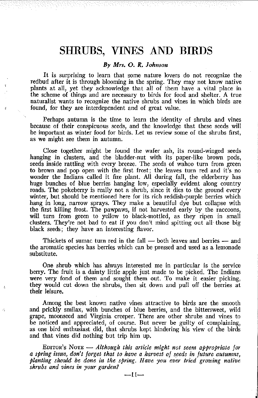### **SHRUBS, VINES AND BIRDS**

3 Part 2014 안정 하는 아이가 있다.

#### *By Mrs. 2. R. Johnson*

It is surprising to learn that some nature lovers do not recognize the redbud after it is through blooming in the spring. They may not know native plants at all, yet they acknowledge that all of them have a vital place in the scheme of things and are necessary to birds for food and shelter. A true **naturalist wants to recognize the native shrubs and vines in which birds are**  found, for they are interdependent and of great value.

 $\overline{U}$ 

 $\mathcal{O}_\mathbf{r}$ 

Perhaps autumn is the time to learn the identity of shrubs and vines because of their conspicuous seeds, and the knowledge that these seeds will be important as winter food for birds. Let us review some of the shrubs first, **as we might see them in autumn.** 

Close together might be found the wafer ash, its round-winged seeds hanging in clusters, and the bladder-nut with its paper-like brown pods, seeds inside rattling with every breeze. The seeds of wahoo turn from green to brown and pop open with the first frost; the leaves turn red and it's no wonder the Indians called it fire plant. All during fall, the elderberry has huge bunches of blue berries hanging low, especially evident along country roads. The pokeberry is really not a shrub, since it dies to the ground every winter, but should be mentioned here for its rich reddish-purple berries which hang in long, narrow sprays. They make a beautiful dye but collapse with the first killing frost. The pawpaws, if not harvested early by the raccoons, will turn from green to yellow to black-mottled, as they ripen in small clusters. They're not bad to eat if you don't mind spitting out all those big **black seeds; they have an interesting flavor.** 

Thickets of sumac turn red in the fall  $-$  both leaves and berries  $-$  and **the aromatic species has berries which can be pressed and used as a lemonade**  substitute.

**One shrub which has always interested me in particular is the service**  berry. The fruit is a dainty little apple just made to be picked. The Indians were very fond of them and sought them out. To make it easier picking, they would cut down the shrubs, then sit down and pull off the berries at their leisure.

**Among the best known native vines attractive to birds are the smooth**  and prickly smilax, with bunches of blue berries, and the bittersweet, wild **grape, moonseed and Virginia creeper. There are other shrubs and vines to**  be noticed and appreciated, of course. But never be guilty of complaining, as one bird enthusiast did, that shrubs kept hindering his view of the birds and that vines did nothing but trip him up.

EDITOR's NoTE - *Although this article might not seem appropriate for a spring issue, don't forget that to have a harvest of seeds in future autumns, planting should be done in the spring. Have you ever tried growing native shrubs and vines in your garden?*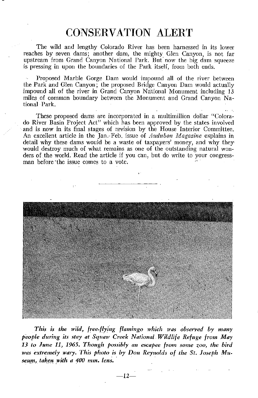## CONSERVATION ALERT

The wild and lengthy Colorado River has been harnessed in its lower reaches by seven dams; another dam, the mighty Glen Canyon, is not far upstream from Grand Canyon National Park. But now the big dam squeeze is pressing in upon the boundaries of the Park itself, from both ends.

Proposed Marble Gorge Dam would impound all of the river between the Park and Glen Canyon; the proposed Bridge Canyon Dam would actua1ly impound all of the river in Grand Canyon National Monument including 13 miles of common boundary between the Monument and Grand Canyon National Park.

These proposed dams are incorporated in a multimillion dollar ''Colorado River Basin Project Act" which has been approved by the states involved and is now in its final stages of revision by the House Interior Committee. An excellent article in the Jan.-Feb. issue of *Audubon Magazine* explains in detail why these dams would be a waste of taxpayers' money, and why they would destroy much of what remains as one of the outstanding natural wonders of the world. Read the article if you can, but do write to your congressman before the issue comes to a vote.



This is the wild, free-flying flamingo which was observed by many *people during its stay at Squaw Creek National Wildlife Refuge from May 13* to *June 11, 1965. Though possibly an escapee from some zoo, the bird was extremely wary. This photo is by Don Reynolds of the St. Joseph Mu.*   $seum$ , taken with a 400 mm. lens.

 $-12-$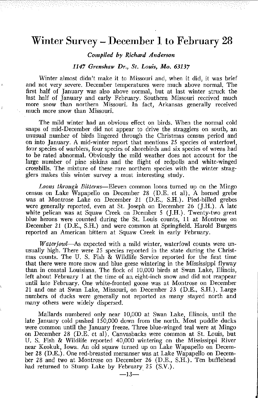### Winter Survey – December 1 to February 28

 $\alpha_1\alpha_2\ldots\alpha_{n+1}\alpha_{n+1}\cdots\alpha_{n+1}\alpha_{n+1}\cdots\alpha_{n+1}\alpha_{n+1}\cdots\alpha_{n+1}\alpha_{n+1}\cdots\alpha_{n+1}\cdots\alpha_{n+1}\cdots\alpha_{n+1}\cdots\alpha_{n+1}\cdots\alpha_{n+1}\cdots\alpha_{n+1}\cdots\alpha_{n+1}\cdots\alpha_{n+1}\cdots\alpha_{n+1}\cdots\alpha_{n+1}\cdots\alpha_{n+1}\cdots\alpha_{n+1}\cdots\alpha_{n+1}\cdots\alpha_{n+1}\cdots\alpha_{n+1}\cdots\alpha_{n+1}\cdots\alpha_{n+$ 

*Compiled by Richard Anderson* 

#### *1147 Grenshaw Dr., St. Louis, Mo. 63137*

Winter almost didn't make it to Missouri and, when it did, it was brief and not very severe. December temperatures were much above normal. The first half of January was also above normal, but at last winter struck the last half of January and early February. Southern Missouri received much more snow than northern Missouri. In fact, Arkansas generally received much more snow than Missouri.

The mild winter had an obvious- effect on birds. When the normal cold snaps of mid-December did not appear to drive the stragglers on south, an unusual number of birds lingered through the Christmas census period and on into January. A mid-winter report that mentions 25 species of waterfowl, four species of warblers, four species of shorebirds and six species of wrens had to be rated abnormal. Obviously the mild weather does not account for the large number of pine siskins and the flight of redpolls and white-winged crossbills. The mixture of these rare northern species with the winter stragglers makes this winter survey a most interesting study.

*Loons through Bitterns-Eleven* common loons turned up on the Mingo census on Lake Wapapello on December 28 (D.E. et al). A horned grebe was at Montrose Lake on December 21 (D.E., S.H.). Pied-billed grebes were generally reported, even at St. Joseph on December 26 (J.H.). A late white pelican was at Squaw Creek on Dcember 5 (J.H.). Twenty-two great blue herons were counted during the St. Louis counts, 11 at Montrose on December 21 (D.E., S.H.) and were common at Springfield. Harold Burgess reported an American bittern at Squaw Creek in early February.

*Waterfowl-As* expected with a mild winter, waterfowl counts were unusually high. There were 25 species reported in the state during the Christmas counts. The U. S. Fish & Wildlife Service reported for the first time that there were more snow and blue geese wintering in the Mississippi flyway than in coastal Louisiana. The flock of 10,000 birds at Swan Lake, Illinois, left about February 1 at the time of an eight-inch snow and did not reappear until late February. One white-fronted goose was at Montrose on December 21 and one at Swan Lake, Missouri, on December 23 (D.E., S.H.). Large numbers of ducks were generally not reported as many stayed north and many others were widely dispersed.

.Mallards numbered only near 10,000 at Swan Lake, Illinois, until the late January cold pushed  $150,000$  down from the north. Most puddle ducks were common until the January freeze. Three blue-winged teal were at Mingo on December 28 (D.E. et al). Canvasbacks were common at St. Louis, but U. S. Fish & Wildlife reported 40,000 wintering on the Mississippi River near Keokuk, Iowa. An old squaw turned up on Lake Wapapello on December 28 (D.E.). One red-breasted mersanser was at Lake Wapapello on December 28 and two at Montrose on December 26 (D.E., S.H.). Ten bufflehead had returned to Stump Lake by February 25 (S.V.).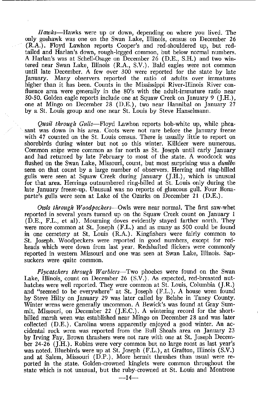*Hawks-Hawks* were up or down, depending on where you lived. The **only goshawk was one on the Swan Lake, Illinois, census on December 26**  (R.A.). Floyd Lawhon reports Cooper's and red-shouldered up, but red**tailed and Harlan's down, rough-legged common, but below normal numbers.**  A Harlan's was at Schell-Osage on December 26 (D.E., S.H.) and two wintered near Swan Lake, Illinois (R.A., S.V.). Bald eagles were not common until late December. A few over 300 were reported for the state by late **January. Many observers reported the ratio of adults over irnmatures higher than it has been. Counts in the Mississippi River-Illinois River confluence area were generally in the 80's with the adult-immature ratio near**  50-50. Golden eagle reports include one at Squaw Creek on January 9 (J.H.), one at Mingo on December 28 (D.E.), two near Hannibal on January 27 by a St. Louis group and one near St. Louis by Steve Hanselmann.

*Quail through Gulls-Floyd* Lawhon reports bob-white up, while phea**sant was down in his area. Coots were not rare before the January freeze**  with 47 counted on the St. Louis census. There is usually little to report on **shorebirds during winter but not so this winter. Killdeer were numerous.**  Common snipe were common as far north as St. Joseph until early January and had returned by late February to most of the state. A woodcock was flushed on the Swan Lake, Missouri, count, but most surprising was a *dunlin* seen on that count by a large number of observers. Herring and ring-billed gulls were seen at Squaw Creek during January (J.H.), which is unusual for that area. Herrings outnumbered ring-billed at St. Louis only during the late January freeze-up. Unusual was no reports of glaucous gull. Four Bonaparte's gulls were seen at Lake of the Ozarks on December 21 (D.E.).

*Owls through Woodpeckers-Owls* were near normal. The first saw-whet reported in several years turned up on the Squaw Creek count on January 1 (D.E., F.L., et al). Mourning doves evidently stayed farther north. They were more common at St. Joseph (F.L.) and as many as 500 could be found in one cemetery at St. Louis ( R.A.). Kingfishers were fairly common to St. Joseph. Woodpeckers were reported in good numbers, except for redheads which were down from last year. Redshafted flickers were commonly **reported in western Missouri and one was seen at Swan Lake, Illinois. Sapsuckers were quite common.** 

*Flycatchers through Warblers-*Two phoebes were found on the Swan Lake, Illinois, count on December 26 (S.V.). As expected, red-breasted nuthatches were well reported. They were common at St. Louis, Columbia (J.R.) and "seemed to be everywhere" at St. Joseph (F.L.). A house wren found by Steve Hilty on January 29 was later called by Belshe in Taney County. **Winter wrens were generally uncommon. A Bewick's was found at Gray Sum**mit, Missouri, on December 22 (J.E.C.). A wintering record for the shortbilled marsh wren was established near Mingo on December 28 and was later collected (D.E.). Carolina wrens apparently enjoyed a good winter. An accidental rock wren was reported from the Bull Shoals area on January 23 by Irving Fay. Brown thrashers were not rare with one at St. Joseph December 24-26 (J.H.). Robins were very common but no large roost as last year's was noted. Bluebirds were up at St. Joseph (F.L.), at Grafton, Illinois (S.V.) and at Salem, Missouri (D.P.). More hermit thrushes than usual were reported in the state. Golden-crowned kinglets were common throughout the state which is not unusual, but the ruby-crowned at St. Louis and Montrose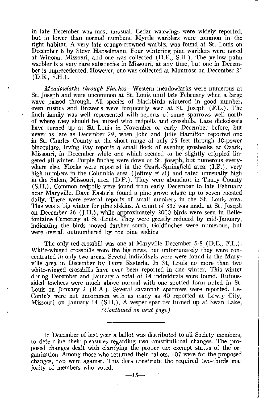**in late December was most unusual. Cedar waxwings were widely reported, but in lower than normal numbers. Myrtle warblers were common in the**  right habitat. A very late orange-crowned warbler was found at St. Louis on **December 8 by Steve Hanselmann. Four wintering pine warblers were noted**  at Winona, Missouri, and one was collected (D.E., S.H.). The yellow palm **warbler is a very rare subspecies in Missouri, at any time, but one in December is unprecedented. However, one was collected at Montrose on December 21**   $(D.E., S.H.).$ 

*Meadowlarks through Finches-Western* **meadowlarks were numerous at**  St. Joseph and were uncommon at St. Louis until late February when a large wave passed through. All species of blackbirds wintered in good number, even rusties and Brewer's were frequently seen at St. Joseph (F.L.). The finch family was well represented with reports of some sparrows well north of where they should be, mixed with redpolls and crossbills. Late dickcissels have turned up at St. Louis in November or early December before, but never as late as December 29, when John and Julie Hamilton reported one in St. Charles County at the short range of only 25 feet through 10-power binoculars. Irving Fay reports a small flock of evening grosbeaks at Ozark, Missouri, in December while one which seemed to be slightly crippled lingered all winter. Purple finches were down at St. Joseph, but numerous everywhere else. Flocks were reported in the Ozark-Springfield area (I.F.), very high numbers in the Columbia area (Jeffrey et al) and rated unusually high in the Salem, Missouri, area (D.P.). They were abundant in Taney County (S.H.). Common redpolls were found from early December to late February **near Maryville. Dave Easterla found a pine grove where up to seven roosted**  daily. There were several reports of small numbers in the St. Louis area. This was a big winter for pine siskins. A count of 335 was made at St. Joseph on December 26 (J.H.), while approximately 2000 birds were seen in Bellefontaine Cemetery at St. Louis. They were greatly reduced by mid-January, **indicating the birds moved further south. Goldfinches were numerous, but were overall outnumbered by the pine siskins.** 

The only red-crossbill was one at Maryville December 5-8 (D.E., F.L.). White-winged crossbills were the big news, but unfortunately they were con**centrated in only two areas. Several individuals were were found in the Maryville area in December by Dave Easterla. In St. Louis no more than two white-winged crossbills have ever been reported in one winter. This winter**  during December and January a total of 14 individuals were found. Rufous**sided towhees were much above normal with one spotted form noted in St.**  Louis on January 2 (R.A.). Several savannah sparrows were reported. Le-**Conte's were not uncommon with as many as 40 reported at Lowry City,**  Missouri, on January 14 (S.H.). A vesper sparrow turned up at Swan Lake, *(Continued on next page)* 

In December of last year a ballot was distributed to all Society members, **to determine their pleasures regarding two constitutional changes. The pro**posed changes dealt with clarifying the proper tax exempt status of the organization. Among those who returned their ballots, 107 were for the proposed **changes, two were against. This does constitute the required two-thirds ma**jority of members who voted.